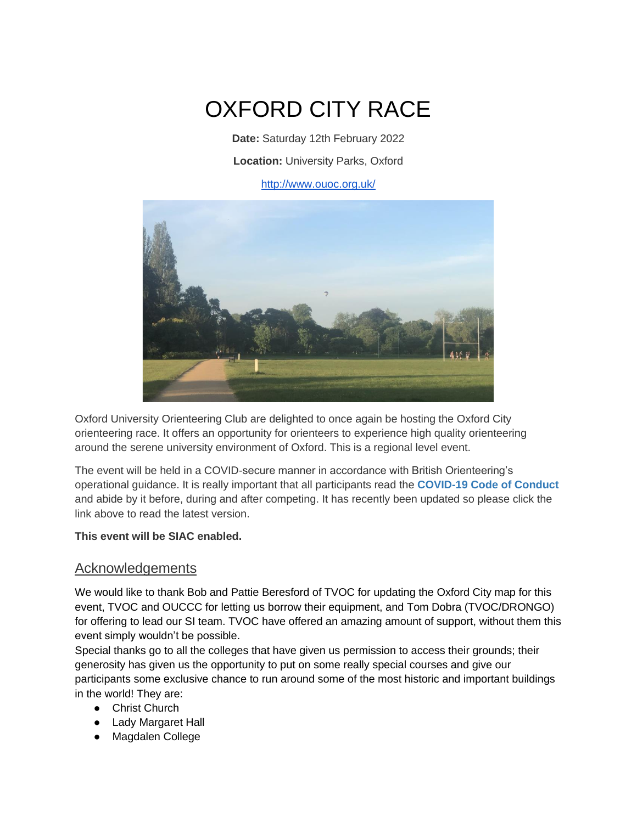# OXFORD CITY RACE

**Date:** Saturday 12th February 2022 **Location:** [University Parks, Oxford](https://goo.gl/maps/M5tbjVHyrGp6kzoMA)

<http://www.ouoc.org.uk/>



Oxford University Orienteering Club are delighted to once again be hosting the Oxford City orienteering race. It offers an opportunity for orienteers to experience high quality orienteering around the serene university environment of Oxford. This is a regional level event.

The event will be held in a COVID-secure manner in accordance with British Orienteering's operational guidance. It is really important that all participants read the **[COVID-19 Code of Conduct](https://www.britishorienteering.org.uk/COVID19_participant_code_of_conduct)** and abide by it before, during and after competing. It has recently been updated so please click the link above to read the latest version.

#### **This event will be SIAC enabled.**

#### Acknowledgements

We would like to thank Bob and Pattie Beresford of TVOC for updating the Oxford City map for this event, TVOC and OUCCC for letting us borrow their equipment, and Tom Dobra (TVOC/DRONGO) for offering to lead our SI team. TVOC have offered an amazing amount of support, without them this event simply wouldn't be possible.

Special thanks go to all the colleges that have given us permission to access their grounds; their generosity has given us the opportunity to put on some really special courses and give our participants some exclusive chance to run around some of the most historic and important buildings in the world! They are:

- Christ Church
- Lady Margaret Hall
- Magdalen College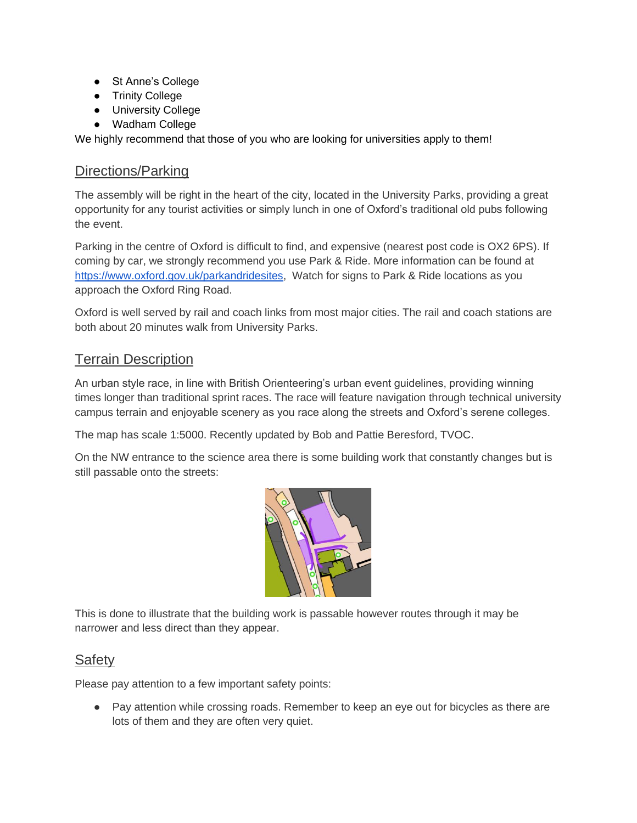- St Anne's College
- Trinity College
- University College
- Wadham College

We highly recommend that those of you who are looking for universities apply to them!

#### Directions/Parking

The assembly will be right in the heart of the city, located in the University Parks, providing a great opportunity for any tourist activities or simply lunch in one of Oxford's traditional old pubs following the event.

Parking in the centre of Oxford is difficult to find, and expensive (nearest post code is OX2 6PS). If coming by car, we strongly recommend you use Park & Ride. More information can be found at [https://www.oxford.gov.uk/parkandridesites,](https://www.oxford.gov.uk/parkandridesites) Watch for signs to Park & Ride locations as you approach the Oxford Ring Road.

Oxford is well served by rail and coach links from most major cities. The rail and coach stations are both about 20 minutes walk from University Parks.

# Terrain Description

An urban style race, in line with British Orienteering's urban event guidelines, providing winning times longer than traditional sprint races. The race will feature navigation through technical university campus terrain and enjoyable scenery as you race along the streets and Oxford's serene colleges.

The map has scale 1:5000. Recently updated by Bob and Pattie Beresford, TVOC.

On the NW entrance to the science area there is some building work that constantly changes but is still passable onto the streets:



This is done to illustrate that the building work is passable however routes through it may be narrower and less direct than they appear.

## **Safety**

Please pay attention to a few important safety points:

● Pay attention while crossing roads. Remember to keep an eye out for bicycles as there are lots of them and they are often very quiet.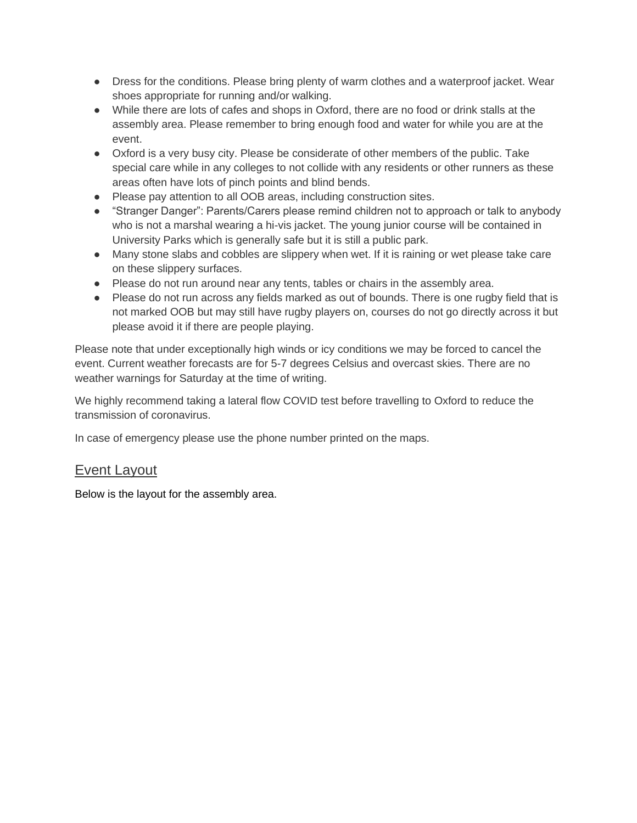- Dress for the conditions. Please bring plenty of warm clothes and a waterproof jacket. Wear shoes appropriate for running and/or walking.
- While there are lots of cafes and shops in Oxford, there are no food or drink stalls at the assembly area. Please remember to bring enough food and water for while you are at the event.
- Oxford is a very busy city. Please be considerate of other members of the public. Take special care while in any colleges to not collide with any residents or other runners as these areas often have lots of pinch points and blind bends.
- Please pay attention to all OOB areas, including construction sites.
- "Stranger Danger": Parents/Carers please remind children not to approach or talk to anybody who is not a marshal wearing a hi-vis jacket. The young junior course will be contained in University Parks which is generally safe but it is still a public park.
- Many stone slabs and cobbles are slippery when wet. If it is raining or wet please take care on these slippery surfaces.
- Please do not run around near any tents, tables or chairs in the assembly area.
- Please do not run across any fields marked as out of bounds. There is one rugby field that is not marked OOB but may still have rugby players on, courses do not go directly across it but please avoid it if there are people playing.

Please note that under exceptionally high winds or icy conditions we may be forced to cancel the event. Current weather forecasts are for 5-7 degrees Celsius and overcast skies. There are no weather warnings for Saturday at the time of writing.

We highly recommend taking a lateral flow COVID test before travelling to Oxford to reduce the transmission of coronavirus.

In case of emergency please use the phone number printed on the maps.

# Event Layout

Below is the layout for the assembly area.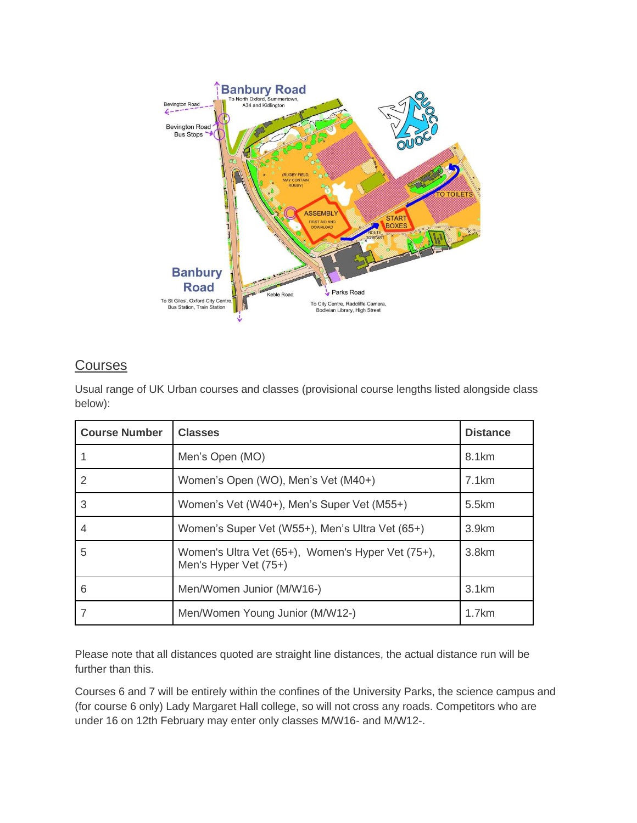

## **Courses**

Usual range of UK Urban courses and classes (provisional course lengths listed alongside class below):

| <b>Course Number</b> | <b>Classes</b>                                                             | <b>Distance</b>   |
|----------------------|----------------------------------------------------------------------------|-------------------|
|                      | Men's Open (MO)                                                            | 8.1 <sub>km</sub> |
| 2                    | Women's Open (WO), Men's Vet (M40+)                                        | 7.1km             |
| 3                    | Women's Vet (W40+), Men's Super Vet (M55+)                                 | 5.5km             |
| 4                    | Women's Super Vet (W55+), Men's Ultra Vet (65+)                            | 3.9 <sub>km</sub> |
| 5                    | Women's Ultra Vet (65+), Women's Hyper Vet (75+),<br>Men's Hyper Vet (75+) | 3.8km             |
| 6                    | Men/Women Junior (M/W16-)                                                  | 3.1km             |
|                      | Men/Women Young Junior (M/W12-)                                            | 1.7km             |

Please note that all distances quoted are straight line distances, the actual distance run will be further than this.

Courses 6 and 7 will be entirely within the confines of the University Parks, the science campus and (for course 6 only) Lady Margaret Hall college, so will not cross any roads. Competitors who are under 16 on 12th February may enter only classes M/W16- and M/W12-.